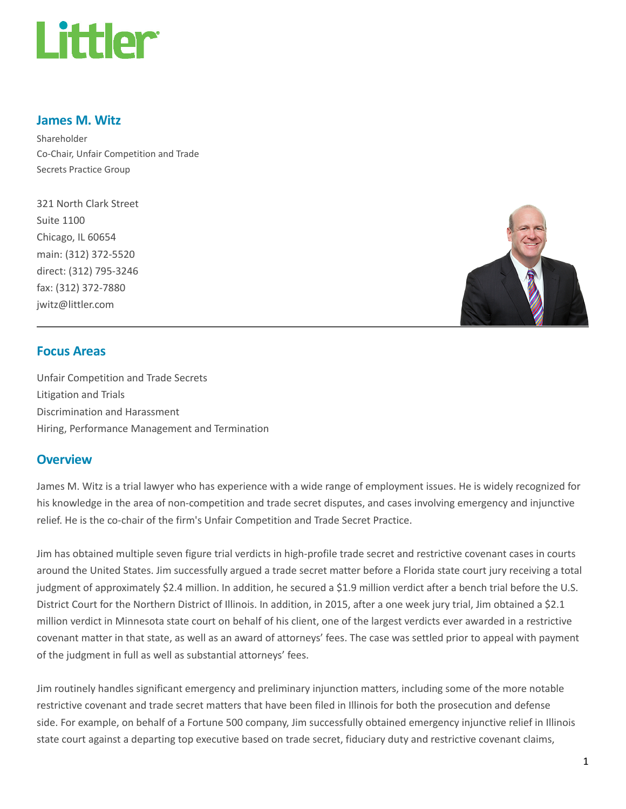

#### James M. Witz

Shareholder Co-Chair, Unfair Competition and Trade Secrets Practice Group

321 North Clark Street Suite 1100 Chicago, IL 60654 main: (312) 372-5520 direct: (312) 795-3246 fax: (312) 372-7880 jwitz@littler.com



#### Focus Areas

Unfair Competition and Trade Secrets Litigation and Trials Discrimination and Harassment Hiring, Performance Management and Termination

#### **Overview**

James M. Witz is a trial lawyer who has experience with a wide range of employment issues. He is widely recognized for his knowledge in the area of non-competition and trade secret disputes, and cases involving emergency and injunctive relief. He is the co-chair of the firm's Unfair Competition and Trade Secret Practice.

Jim has obtained multiple seven figure trial verdicts in high-profile trade secret and restrictive covenant cases in courts around the United States. Jim successfully argued a trade secret matter before a Florida state court jury receiving a total judgment of approximately \$2.4 million. In addition, he secured a \$1.9 million verdict after a bench trial before the U.S. District Court for the Northern District of Illinois. In addition, in 2015, after a one week jury trial, Jim obtained a \$2.1 million verdict in Minnesota state court on behalf of his client, one of the largest verdicts ever awarded in a restrictive covenant matter in that state, as well as an award of attorneys' fees. The case was settled prior to appeal with payment of the judgment in full as well as substantial attorneys' fees.

Jim routinely handles significant emergency and preliminary injunction matters, including some of the more notable restrictive covenant and trade secret matters that have been filed in Illinois for both the prosecution and defense side. For example, on behalf of a Fortune 500 company, Jim successfully obtained emergency injunctive relief in Illinois state court against a departing top executive based on trade secret, fiduciary duty and restrictive covenant claims,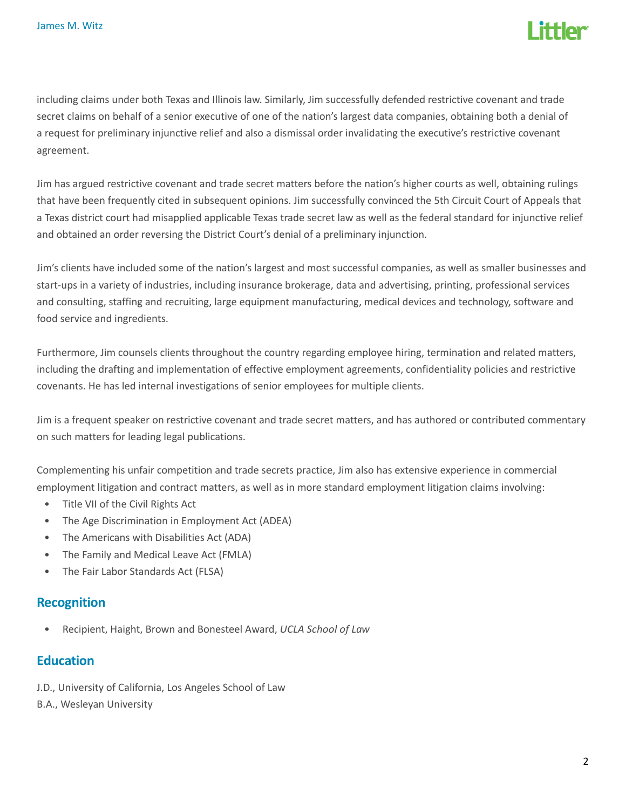

including claims under both Texas and Illinois law. Similarly, Jim successfully defended restrictive covenant and trade secret claims on behalf of a senior executive of one of the nation's largest data companies, obtaining both a denial of a request for preliminary injunctive relief and also a dismissal order invalidating the executive's restrictive covenant agreement.

Jim has argued restrictive covenant and trade secret matters before the nation's higher courts as well, obtaining rulings that have been frequently cited in subsequent opinions. Jim successfully convinced the 5th Circuit Court of Appeals that a Texas district court had misapplied applicable Texas trade secret law as well as the federal standard for injunctive relief and obtained an order reversing the District Court's denial of a preliminary injunction.

Jim's clients have included some of the nation's largest and most successful companies, as well as smaller businesses and start-ups in a variety of industries, including insurance brokerage, data and advertising, printing, professional services and consulting, staffing and recruiting, large equipment manufacturing, medical devices and technology, software and food service and ingredients.

Furthermore, Jim counsels clients throughout the country regarding employee hiring, termination and related matters, including the drafting and implementation of effective employment agreements, confidentiality policies and restrictive covenants. He has led internal investigations of senior employees for multiple clients.

Jim is a frequent speaker on restrictive covenant and trade secret matters, and has authored or contributed commentary on such matters for leading legal publications.

Complementing his unfair competition and trade secrets practice, Jim also has extensive experience in commercial employment litigation and contract matters, as well as in more standard employment litigation claims involving:

- Title VII of the Civil Rights Act
- The Age Discrimination in Employment Act (ADEA)
- The Americans with Disabilities Act (ADA)
- The Family and Medical Leave Act (FMLA)
- The Fair Labor Standards Act (FLSA)

#### Recognition

Recipient, Haight, Brown and Bonesteel Award, UCLA School of Law

## **Education**

- J.D., University of California, Los Angeles School of Law
- B.A., Wesleyan University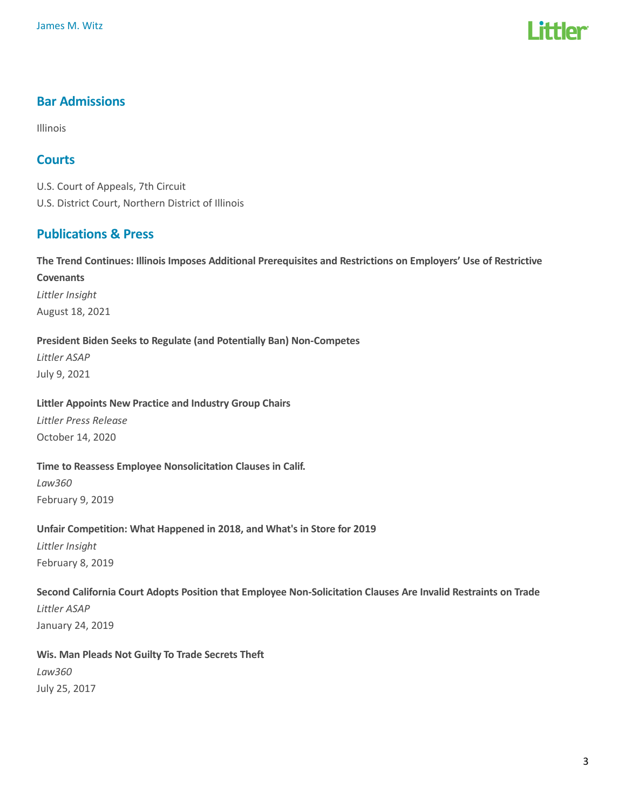# l ittler

# Bar Admissions

Illinois

## **Courts**

U.S. Court of Appeals, 7th Circuit U.S. District Court, Northern District of Illinois

# Publications & Press

The Trend Continues: Illinois Imposes Additional Prerequisites and Restrictions on Employers' Use of Restrictive **Covenants** Littler Insight August 18, 2021

#### President Biden Seeks to Regulate (and Potentially Ban) Non-Competes

Littler ASAP July 9, 2021

#### Littler Appoints New Practice and Industry Group Chairs

Littler Press Release October 14, 2020

#### Time to Reassess Employee Nonsolicitation Clauses in Calif.

Law360 February 9, 2019

#### Unfair Competition: What Happened in 2018, and What's in Store for 2019

Littler Insight February 8, 2019

#### Second California Court Adopts Position that Employee Non-Solicitation Clauses Are Invalid Restraints on Trade

Littler ASAP January 24, 2019

# Wis. Man Pleads Not Guilty To Trade Secrets Theft Law360

July 25, 2017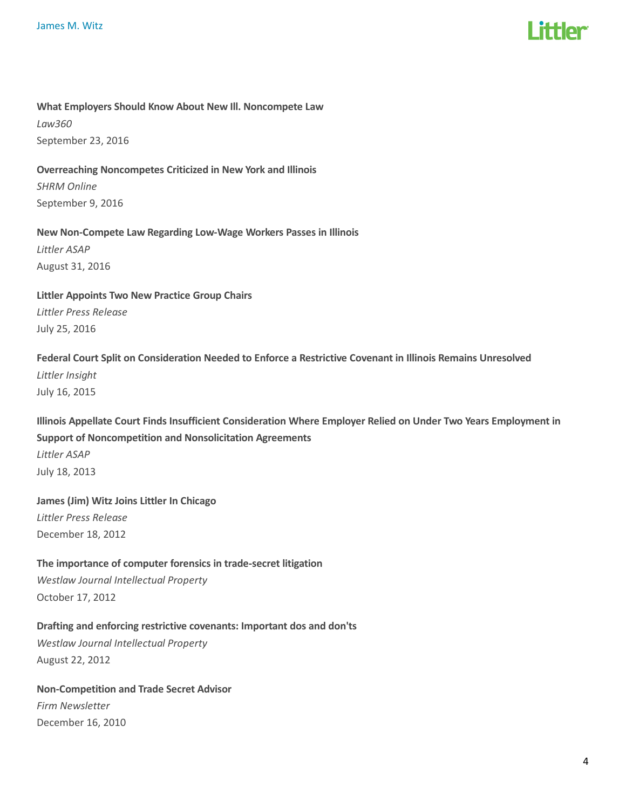

#### What Employers Should Know About New Ill. Noncompete Law

Law360 September 23, 2016

#### Overreaching Noncompetes Criticized in New York and Illinois

SHRM Online September 9, 2016

#### New Non-Compete Law Regarding Low-Wage Workers Passes in Illinois Littler ASAP

August 31, 2016

### Littler Appoints Two New Practice Group Chairs Littler Press Release July 25, 2016

# Federal Court Split on Consideration Needed to Enforce a Restrictive Covenant in Illinois Remains Unresolved

Littler Insight July 16, 2015

# Illinois Appellate Court Finds Insufficient Consideration Where Employer Relied on Under Two Years Employment in Support of Noncompetition and Nonsolicitation Agreements

Littler ASAP July 18, 2013

## James (Jim) Witz Joins Littler In Chicago Littler Press Release December 18, 2012

### The importance of computer forensics in trade-secret litigation

Westlaw Journal Intellectual Property October 17, 2012

# Drafting and enforcing restrictive covenants: Important dos and don'ts

Westlaw Journal Intellectual Property August 22, 2012

# Non-Competition and Trade Secret Advisor

Firm Newsletter December 16, 2010